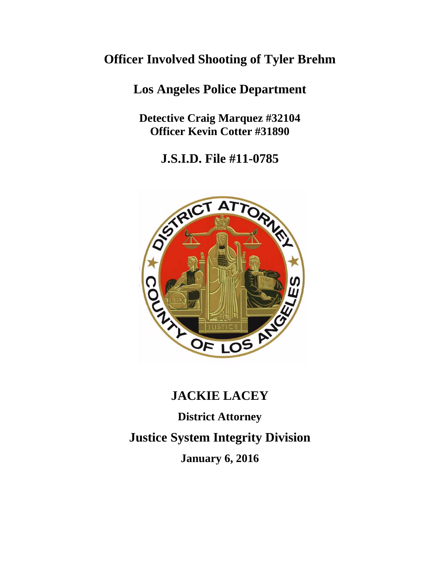## **Officer Involved Shooting of Tyler Brehm**

### **Los Angeles Police Department**

**Detective Craig Marquez #32104 Officer Kevin Cotter #31890**

**J.S.I.D. File #11-0785**



# **JACKIE LACEY**

**District Attorney**

**Justice System Integrity Division**

**January 6, 2016**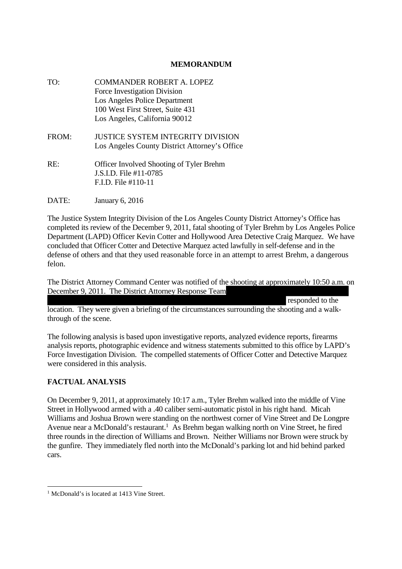#### **MEMORANDUM**

| TO:   | <b>COMMANDER ROBERT A. LOPEZ</b><br>Force Investigation Division<br>Los Angeles Police Department<br>100 West First Street, Suite 431<br>Los Angeles, California 90012 |
|-------|------------------------------------------------------------------------------------------------------------------------------------------------------------------------|
| FROM: | JUSTICE SYSTEM INTEGRITY DIVISION<br>Los Angeles County District Attorney's Office                                                                                     |
| RE:   | <b>Officer Involved Shooting of Tyler Brehm</b><br>J.S.I.D. File #11-0785<br>$FID.$ File $#110-11$                                                                     |
| DATE: | January 6, 2016                                                                                                                                                        |

The Justice System Integrity Division of the Los Angeles County District Attorney's Office has completed its review of the December 9, 2011, fatal shooting of Tyler Brehm by Los Angeles Police Department (LAPD) Officer Kevin Cotter and Hollywood Area Detective Craig Marquez. We have concluded that Officer Cotter and Detective Marquez acted lawfully in self-defense and in the defense of others and that they used reasonable force in an attempt to arrest Brehm, a dangerous felon.

The District Attorney Command Center was notified of the shooting at approximately 10:50 a.m. on December 9, 2011. The District Attorney Response Team

responded to the location. They were given a briefing of the circumstances surrounding the shooting and a walkthrough of the scene.

The following analysis is based upon investigative reports, analyzed evidence reports, firearms analysis reports, photographic evidence and witness statements submitted to this office by LAPD's Force Investigation Division. The compelled statements of Officer Cotter and Detective Marquez were considered in this analysis.

#### **FACTUAL ANALYSIS**

On December 9, 2011, at approximately 10:17 a.m., Tyler Brehm walked into the middle of Vine Street in Hollywood armed with a .40 caliber semi-automatic pistol in his right hand. Micah Williams and Joshua Brown were standing on the northwest corner of Vine Street and De Longpre Avenue near a McDonald's restaurant.<sup>1</sup> As Brehm began walking north on Vine Street, he fired three rounds in the direction of Williams and Brown. Neither Williams nor Brown were struck by the gunfire. They immediately fled north into the McDonald's parking lot and hid behind parked cars.

<sup>&</sup>lt;sup>1</sup> McDonald's is located at 1413 Vine Street.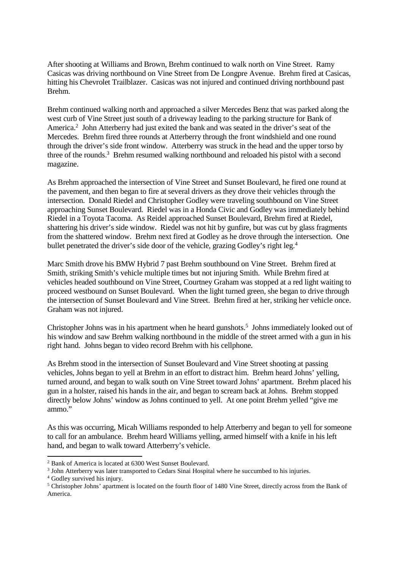After shooting at Williams and Brown, Brehm continued to walk north on Vine Street. Ramy Casicas was driving northbound on Vine Street from De Longpre Avenue. Brehm fired at Casicas, hitting his Chevrolet Trailblazer. Casicas was not injured and continued driving northbound past Brehm.

Brehm continued walking north and approached a silver Mercedes Benz that was parked along the west curb of Vine Street just south of a driveway leading to the parking structure for Bank of America.<sup>2</sup> John Atterberry had just exited the bank and was seated in the driver's seat of the Mercedes. Brehm fired three rounds at Atterberry through the front windshield and one round through the driver's side front window. Atterberry was struck in the head and the upper torso by three of the rounds.<sup>3</sup> Brehm resumed walking northbound and reloaded his pistol with a second magazine.

As Brehm approached the intersection of Vine Street and Sunset Boulevard, he fired one round at the pavement, and then began to fire at several drivers as they drove their vehicles through the intersection. Donald Riedel and Christopher Godley were traveling southbound on Vine Street approaching Sunset Boulevard. Riedel was in a Honda Civic and Godley was immediately behind Riedel in a Toyota Tacoma. As Reidel approached Sunset Boulevard, Brehm fired at Riedel, shattering his driver's side window. Riedel was not hit by gunfire, but was cut by glass fragments from the shattered window. Brehm next fired at Godley as he drove through the intersection. One bullet penetrated the driver's side door of the vehicle, grazing Godley's right leg.<sup>4</sup>

Marc Smith drove his BMW Hybrid 7 past Brehm southbound on Vine Street. Brehm fired at Smith, striking Smith's vehicle multiple times but not injuring Smith. While Brehm fired at vehicles headed southbound on Vine Street, Courtney Graham was stopped at a red light waiting to proceed westbound on Sunset Boulevard. When the light turned green, she began to drive through the intersection of Sunset Boulevard and Vine Street. Brehm fired at her, striking her vehicle once. Graham was not injured.

Christopher Johns was in his apartment when he heard gunshots.<sup>5</sup> Johns immediately looked out of his window and saw Brehm walking northbound in the middle of the street armed with a gun in his right hand. Johns began to video record Brehm with his cellphone.

As Brehm stood in the intersection of Sunset Boulevard and Vine Street shooting at passing vehicles, Johns began to yell at Brehm in an effort to distract him. Brehm heard Johns' yelling, turned around, and began to walk south on Vine Street toward Johns' apartment. Brehm placed his gun in a holster, raised his hands in the air, and began to scream back at Johns. Brehm stopped directly below Johns' window as Johns continued to yell. At one point Brehm yelled "give me ammo."

As this was occurring, Micah Williams responded to help Atterberry and began to yell for someone to call for an ambulance. Brehm heard Williams yelling, armed himself with a knife in his left hand, and began to walk toward Atterberry's vehicle.

<sup>2</sup> Bank of America is located at 6300 West Sunset Boulevard.

<sup>&</sup>lt;sup>3</sup> John Atterberry was later transported to Cedars Sinai Hospital where he succumbed to his injuries.

<sup>4</sup> Godley survived his injury.

<sup>5</sup> Christopher Johns' apartment is located on the fourth floor of 1480 Vine Street, directly across from the Bank of America.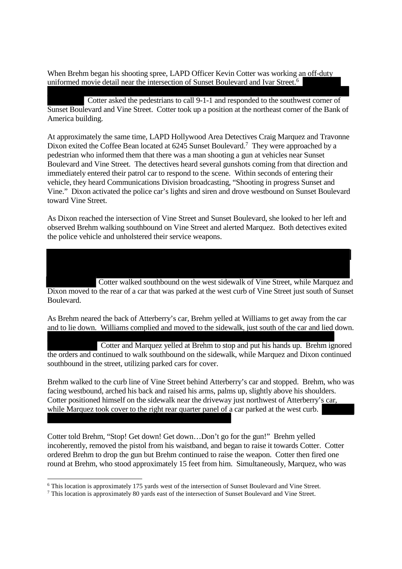When Brehm began his shooting spree, LAPD Officer Kevin Cotter was working an off-duty uniformed movie detail near the intersection of Sunset Boulevard and Ivar Street.<sup>6</sup>

Cotter asked the pedestrians to call 9-1-1 and responded to the southwest corner of Sunset Boulevard and Vine Street. Cotter took up a position at the northeast corner of the Bank of America building.

At approximately the same time, LAPD Hollywood Area Detectives Craig Marquez and Travonne Dixon exited the Coffee Bean located at 6245 Sunset Boulevard.<sup>7</sup> They were approached by a pedestrian who informed them that there was a man shooting a gun at vehicles near Sunset Boulevard and Vine Street. The detectives heard several gunshots coming from that direction and immediately entered their patrol car to respond to the scene. Within seconds of entering their vehicle, they heard Communications Division broadcasting, "Shooting in progress Sunset and Vine." Dixon activated the police car's lights and siren and drove westbound on Sunset Boulevard toward Vine Street.

As Dixon reached the intersection of Vine Street and Sunset Boulevard, she looked to her left and observed Brehm walking southbound on Vine Street and alerted Marquez. Both detectives exited the police vehicle and unholstered their service weapons.

Cotter walked southbound on the west sidewalk of Vine Street, while Marquez and Dixon moved to the rear of a car that was parked at the west curb of Vine Street just south of Sunset Boulevard.

As Brehm neared the back of Atterberry's car, Brehm yelled at Williams to get away from the car and to lie down. Williams complied and moved to the sidewalk, just south of the car and lied down.

Cotter and Marquez yelled at Brehm to stop and put his hands up. Brehm ignored the orders and continued to walk southbound on the sidewalk, while Marquez and Dixon continued southbound in the street, utilizing parked cars for cover.

Brehm walked to the curb line of Vine Street behind Atterberry's car and stopped. Brehm, who was facing westbound, arched his back and raised his arms, palms up, slightly above his shoulders. Cotter positioned himself on the sidewalk near the driveway just northwest of Atterberry's car, while Marquez took cover to the right rear quarter panel of a car parked at the west curb.

Cotter told Brehm, "Stop! Get down! Get down…Don't go for the gun!" Brehm yelled incoherently, removed the pistol from his waistband, and began to raise it towards Cotter. Cotter ordered Brehm to drop the gun but Brehm continued to raise the weapon. Cotter then fired one round at Brehm, who stood approximately 15 feet from him. Simultaneously, Marquez, who was

<sup>6</sup> This location is approximately 175 yards west of the intersection of Sunset Boulevard and Vine Street.

<sup>7</sup> This location is approximately 80 yards east of the intersection of Sunset Boulevard and Vine Street.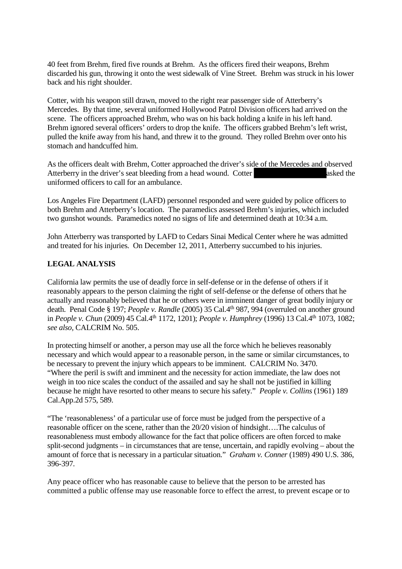40 feet from Brehm, fired five rounds at Brehm. As the officers fired their weapons, Brehm discarded his gun, throwing it onto the west sidewalk of Vine Street. Brehm was struck in his lower back and his right shoulder.

Cotter, with his weapon still drawn, moved to the right rear passenger side of Atterberry's Mercedes. By that time, several uniformed Hollywood Patrol Division officers had arrived on the scene. The officers approached Brehm, who was on his back holding a knife in his left hand. Brehm ignored several officers' orders to drop the knife. The officers grabbed Brehm's left wrist, pulled the knife away from his hand, and threw it to the ground. They rolled Brehm over onto his stomach and handcuffed him.

As the officers dealt with Brehm, Cotter approached the driver's side of the Mercedes and observed Atterberry in the driver's seat bleeding from a head wound. Cotter asked the uniformed officers to call for an ambulance.

Los Angeles Fire Department (LAFD) personnel responded and were guided by police officers to both Brehm and Atterberry's location. The paramedics assessed Brehm's injuries, which included two gunshot wounds. Paramedics noted no signs of life and determined death at 10:34 a.m.

John Atterberry was transported by LAFD to Cedars Sinai Medical Center where he was admitted and treated for his injuries. On December 12, 2011, Atterberry succumbed to his injuries.

#### **LEGAL ANALYSIS**

California law permits the use of deadly force in self-defense or in the defense of others if it reasonably appears to the person claiming the right of self-defense or the defense of others that he actually and reasonably believed that he or others were in imminent danger of great bodily injury or death. Penal Code § 197; *People v. Randle* (2005) 35 Cal.4th 987, 994 (overruled on another ground in *People v. Chun* (2009) 45 Cal.4th 1172, 1201); *People v. Humphrey* (1996) 13 Cal.4th 1073, 1082; *see also,* CALCRIM No. 505.

In protecting himself or another, a person may use all the force which he believes reasonably necessary and which would appear to a reasonable person, in the same or similar circumstances, to be necessary to prevent the injury which appears to be imminent. CALCRIM No. 3470. "Where the peril is swift and imminent and the necessity for action immediate, the law does not weigh in too nice scales the conduct of the assailed and say he shall not be justified in killing because he might have resorted to other means to secure his safety." *People v. Collins* (1961) 189 Cal.App.2d 575, 589.

"The 'reasonableness' of a particular use of force must be judged from the perspective of a reasonable officer on the scene, rather than the 20/20 vision of hindsight….The calculus of reasonableness must embody allowance for the fact that police officers are often forced to make split-second judgments – in circumstances that are tense, uncertain, and rapidly evolving – about the amount of force that is necessary in a particular situation." *Graham v. Conner* (1989) 490 U.S. 386, 396-397.

Any peace officer who has reasonable cause to believe that the person to be arrested has committed a public offense may use reasonable force to effect the arrest, to prevent escape or to